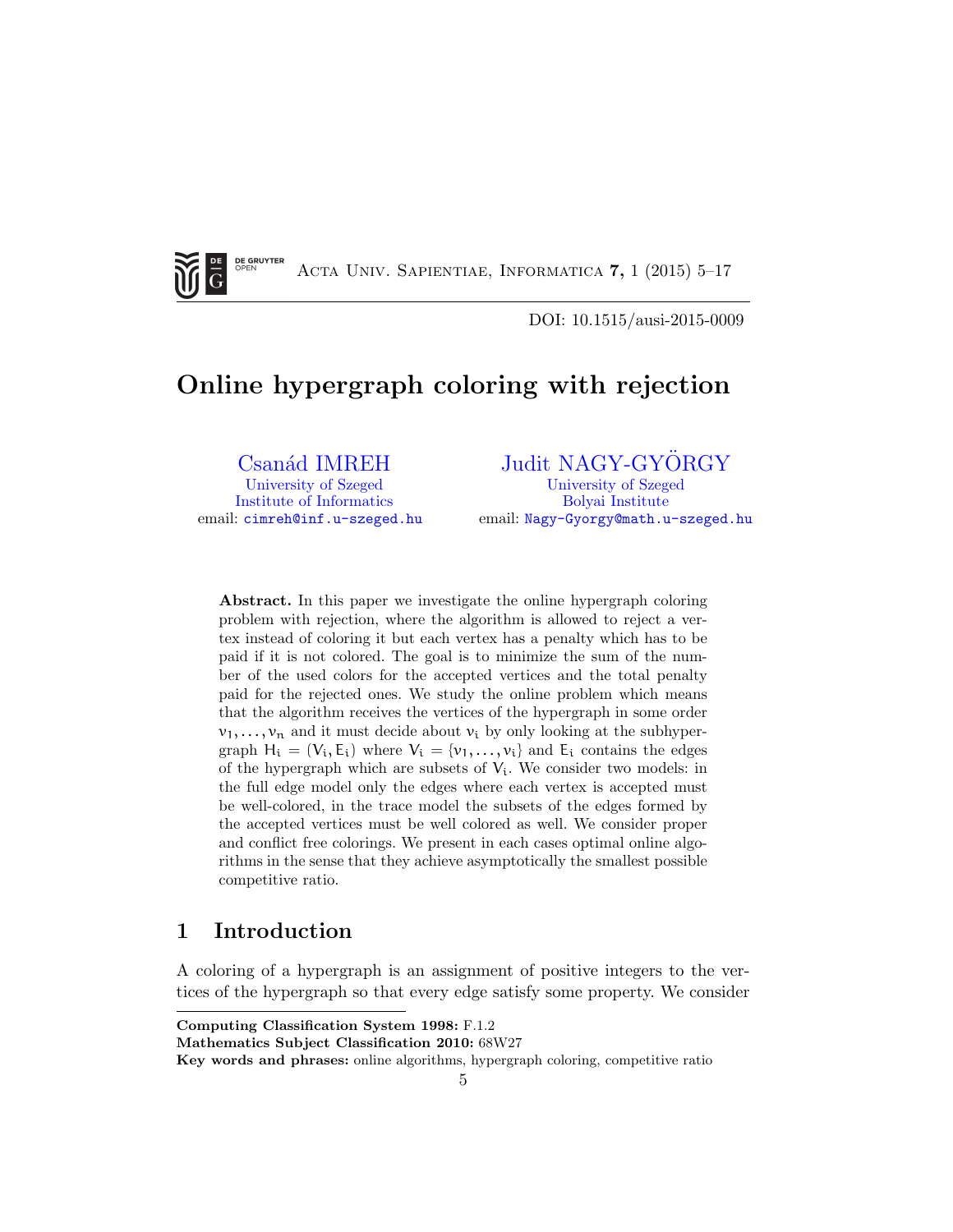<span id="page-0-0"></span>**DE GRUYTER** G

Acta Univ. Sapientiae, Informatica 7, 1 (2015) 5–17

DOI: 10.1515/ausi-2015-0009

# Online hypergraph coloring with rejection

Csanád IMREH [University of Szeged](http://www.u-szeged.hu) [Institute of Informatics](http://www.inf.u-szeged.hu) email: [cimreh@inf.u-szeged.hu](mailto:cimreh@inf.u-szeged.hu)

### [Judit NAGY-GYORGY](http://www.math.u-szeged.hu/~ngyj)

[University of Szeged](http://www.u-szeged.hu) [Bolyai Institute](http://www.math.u-szeged.hu) email: [Nagy-Gyorgy@math.u-szeged.hu](mailto:Nagy-Gyorgy@math.u-szeged.hu)

Abstract. In this paper we investigate the online hypergraph coloring problem with rejection, where the algorithm is allowed to reject a vertex instead of coloring it but each vertex has a penalty which has to be paid if it is not colored. The goal is to minimize the sum of the number of the used colors for the accepted vertices and the total penalty paid for the rejected ones. We study the online problem which means that the algorithm receives the vertices of the hypergraph in some order  $v_1, \ldots, v_n$  and it must decide about  $v_i$  by only looking at the subhypergraph  $H_i = (V_i, E_i)$  where  $V_i = \{v_1, \ldots, v_i\}$  and  $E_i$  contains the edges of the hypergraph which are subsets of  $V_i$ . We consider two models: in the full edge model only the edges where each vertex is accepted must be well-colored, in the trace model the subsets of the edges formed by the accepted vertices must be well colored as well. We consider proper and conflict free colorings. We present in each cases optimal online algorithms in the sense that they achieve asymptotically the smallest possible competitive ratio.

## 1 Introduction

A coloring of a hypergraph is an assignment of positive integers to the vertices of the hypergraph so that every edge satisfy some property. We consider

Key words and phrases: online algorithms, hypergraph coloring, competitive ratio

Computing Classification System 1998: F.1.2

Mathematics Subject Classification 2010: 68W27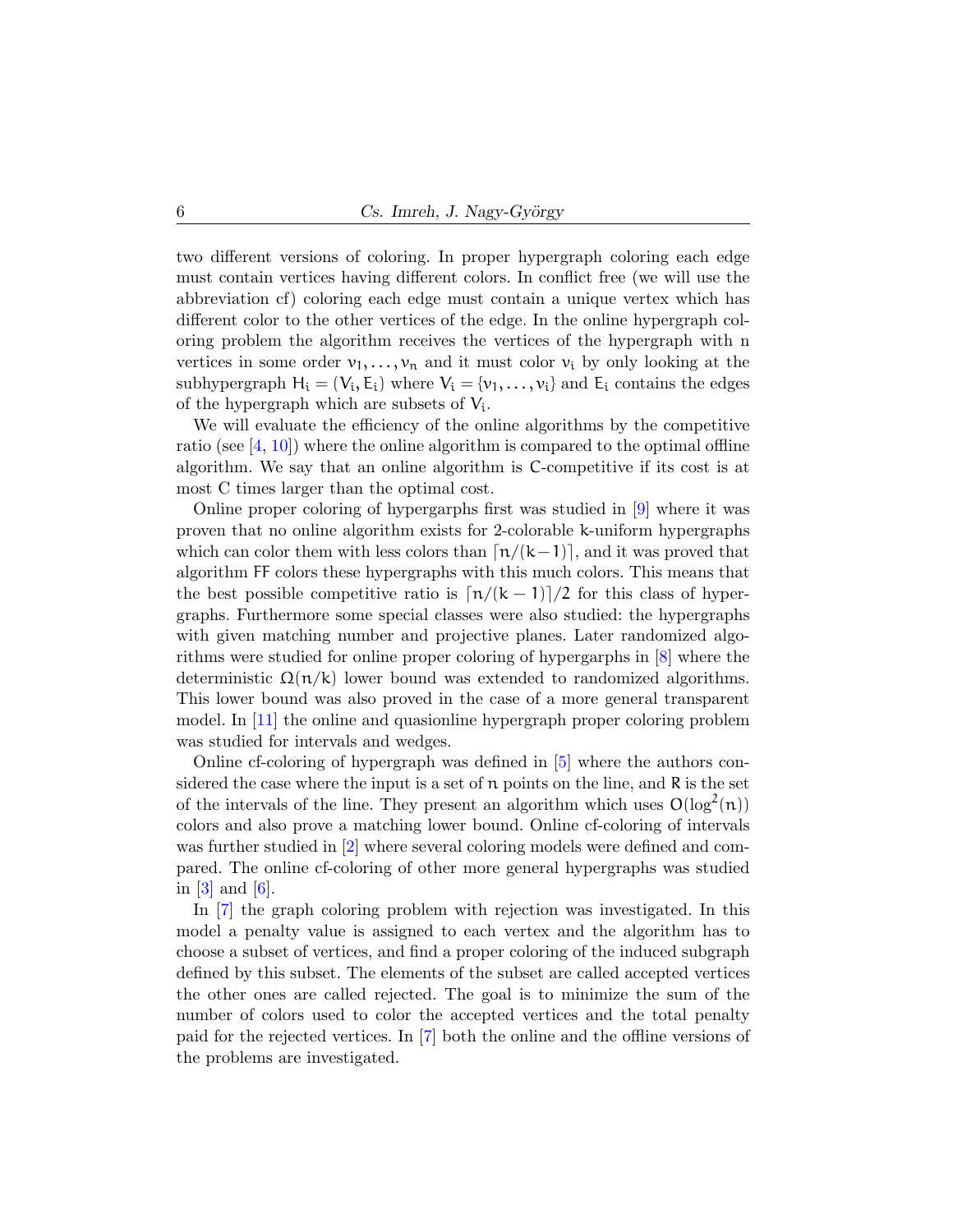<span id="page-1-0"></span>two different versions of coloring. In proper hypergraph coloring each edge must contain vertices having different colors. In conflict free (we will use the abbreviation cf) coloring each edge must contain a unique vertex which has different color to the other vertices of the edge. In the online hypergraph coloring problem the algorithm receives the vertices of the hypergraph with n vertices in some order  $v_1, \ldots, v_n$  and it must color  $v_i$  by only looking at the subhypergraph  $H_i = (V_i, E_i)$  where  $V_i = \{v_1, \ldots, v_i\}$  and  $E_i$  contains the edges of the hypergraph which are subsets of  $V_i$ .

We will evaluate the efficiency of the online algorithms by the competitive ratio (see  $[4, 10]$  $[4, 10]$  $[4, 10]$ ) where the online algorithm is compared to the optimal offline algorithm. We say that an online algorithm is C-competitive if its cost is at most C times larger than the optimal cost.

Online proper coloring of hypergarphs first was studied in [\[9\]](#page-12-1) where it was proven that no online algorithm exists for 2-colorable k-uniform hypergraphs which can color them with less colors than  $\lfloor n/(k-1)\rfloor$ , and it was proved that algorithm FF colors these hypergraphs with this much colors. This means that the best possible competitive ratio is  $\left\lfloor \frac{n}{k-1} \right\rfloor/2$  for this class of hypergraphs. Furthermore some special classes were also studied: the hypergraphs with given matching number and projective planes. Later randomized algorithms were studied for online proper coloring of hypergarphs in [\[8\]](#page-12-2) where the deterministic  $\Omega(n/k)$  lower bound was extended to randomized algorithms. This lower bound was also proved in the case of a more general transparent model. In [\[11\]](#page-12-3) the online and quasionline hypergraph proper coloring problem was studied for intervals and wedges.

Online cf-coloring of hypergraph was defined in [\[5\]](#page-11-1) where the authors considered the case where the input is a set of  $\pi$  points on the line, and  $\pi$  is the set of the intervals of the line. They present an algorithm which uses  $O(log^2(n))$ colors and also prove a matching lower bound. Online cf-coloring of intervals was further studied in [\[2\]](#page-11-2) where several coloring models were defined and compared. The online cf-coloring of other more general hypergraphs was studied in [\[3\]](#page-11-3) and [\[6\]](#page-12-4).

In [\[7\]](#page-12-5) the graph coloring problem with rejection was investigated. In this model a penalty value is assigned to each vertex and the algorithm has to choose a subset of vertices, and find a proper coloring of the induced subgraph defined by this subset. The elements of the subset are called accepted vertices the other ones are called rejected. The goal is to minimize the sum of the number of colors used to color the accepted vertices and the total penalty paid for the rejected vertices. In [\[7\]](#page-12-5) both the online and the offline versions of the problems are investigated.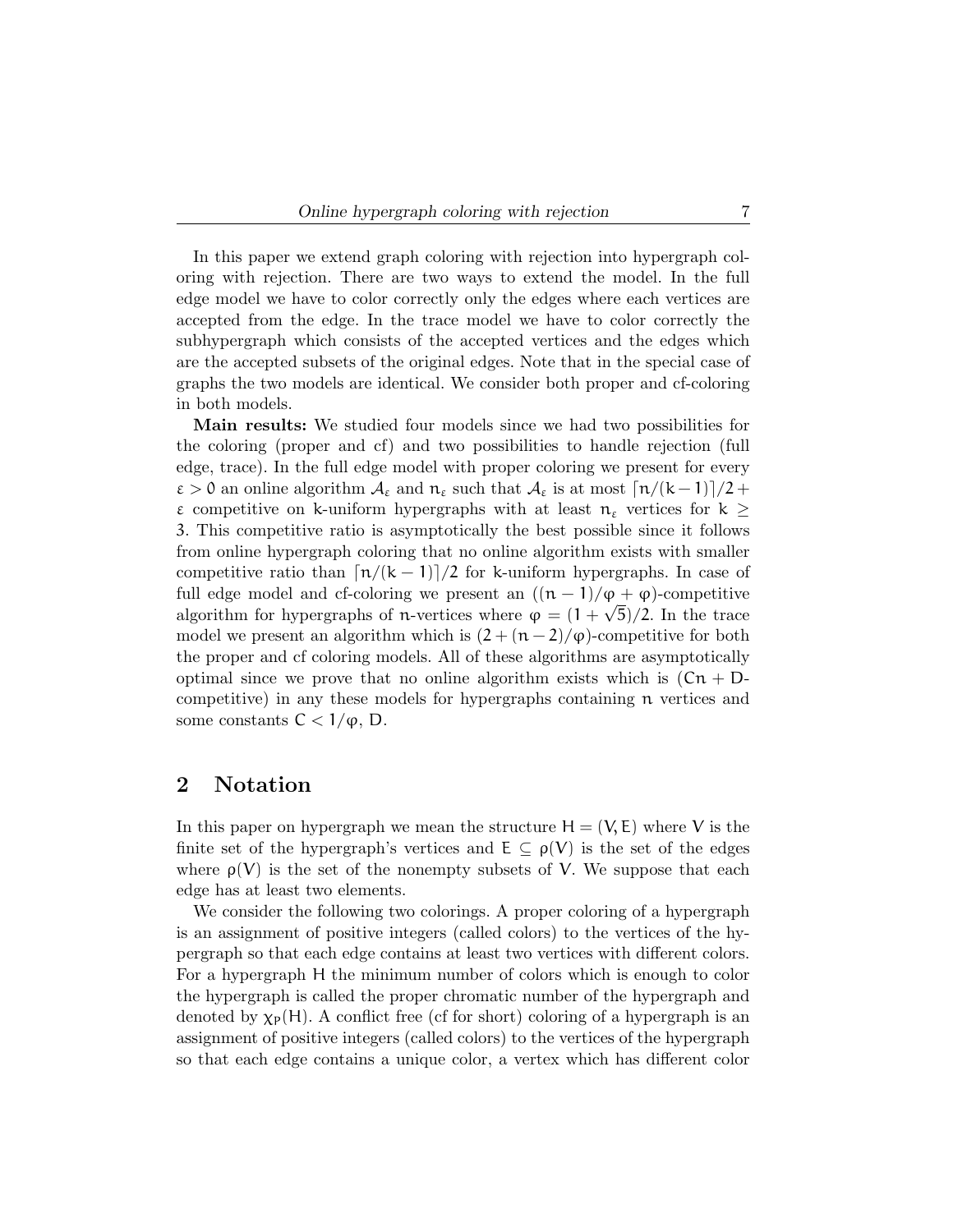In this paper we extend graph coloring with rejection into hypergraph coloring with rejection. There are two ways to extend the model. In the full edge model we have to color correctly only the edges where each vertices are accepted from the edge. In the trace model we have to color correctly the subhypergraph which consists of the accepted vertices and the edges which are the accepted subsets of the original edges. Note that in the special case of graphs the two models are identical. We consider both proper and cf-coloring in both models.

Main results: We studied four models since we had two possibilities for the coloring (proper and cf) and two possibilities to handle rejection (full edge, trace). In the full edge model with proper coloring we present for every  $\varepsilon > 0$  an online algorithm  $\mathcal{A}_{\varepsilon}$  and  $n_{\varepsilon}$  such that  $\mathcal{A}_{\varepsilon}$  is at most  $\lceil n/(k-1)\rceil/2 +$ ε competitive on k-uniform hypergraphs with at least  $π_ε$  vertices for  $k ≥$ 3. This competitive ratio is asymptotically the best possible since it follows from online hypergraph coloring that no online algorithm exists with smaller competitive ratio than  $\left\lfloor \frac{n}{k-1} \right\rfloor/2$  for k-uniform hypergraphs. In case of full edge model and cf-coloring we present an  $((n-1)/\varphi + \varphi)$ -competitive algorithm for hypergraphs of n-vertices where  $\varphi = (1 + \sqrt{5})/2$ . In the trace model we present an algorithm which is  $(2 + (n-2)/\varphi)$ -competitive for both the proper and cf coloring models. All of these algorithms are asymptotically optimal since we prove that no online algorithm exists which is  $(Cn + D$ competitive) in any these models for hypergraphs containing n vertices and some constants  $C < 1/\varphi$ , D.

## 2 Notation

In this paper on hypergraph we mean the structure  $H = (V, E)$  where V is the finite set of the hypergraph's vertices and  $E \subseteq \rho(V)$  is the set of the edges where  $\rho(V)$  is the set of the nonempty subsets of V. We suppose that each edge has at least two elements.

We consider the following two colorings. A proper coloring of a hypergraph is an assignment of positive integers (called colors) to the vertices of the hypergraph so that each edge contains at least two vertices with different colors. For a hypergraph H the minimum number of colors which is enough to color the hypergraph is called the proper chromatic number of the hypergraph and denoted by  $\chi_P(H)$ . A conflict free (cf for short) coloring of a hypergraph is an assignment of positive integers (called colors) to the vertices of the hypergraph so that each edge contains a unique color, a vertex which has different color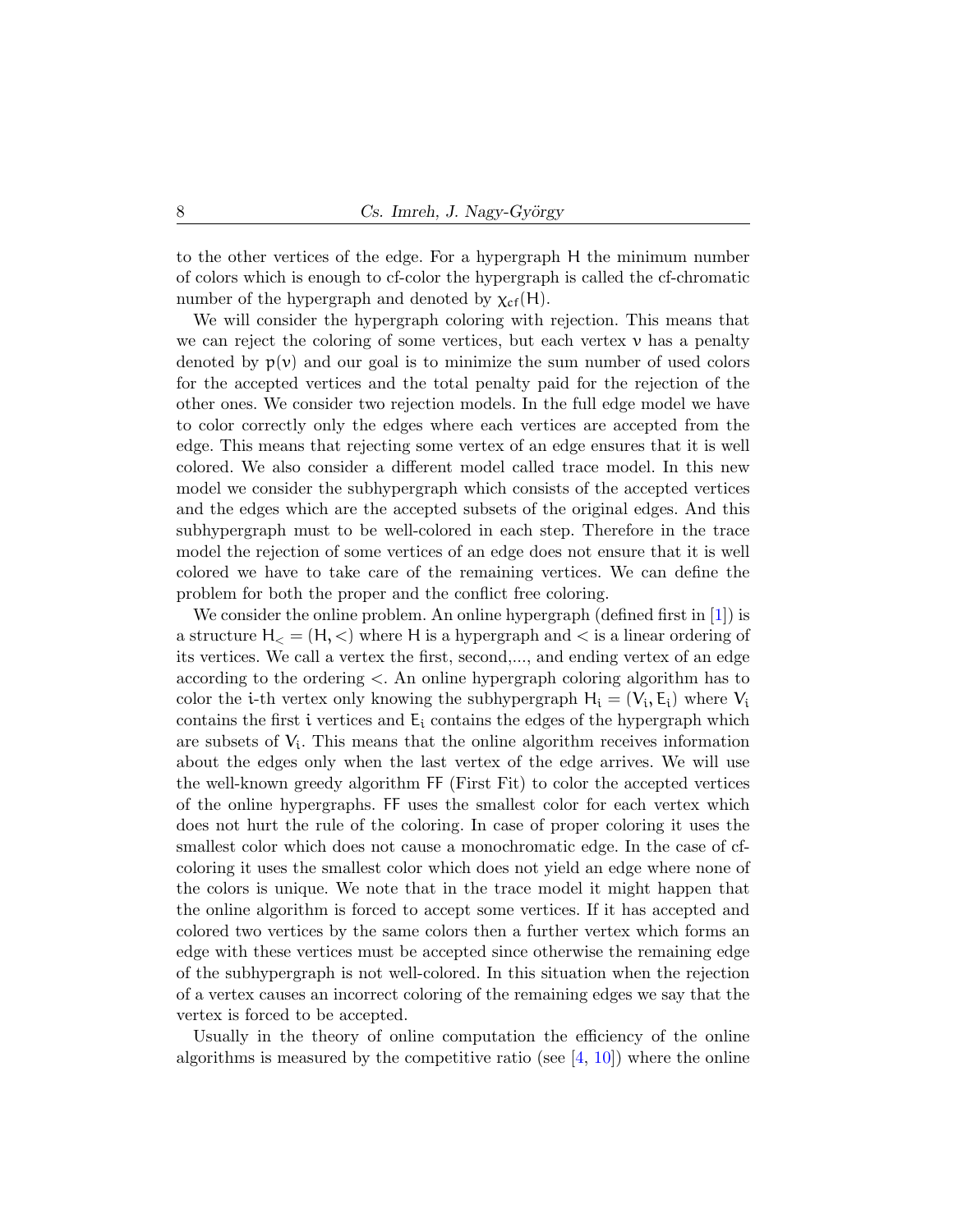<span id="page-3-0"></span>to the other vertices of the edge. For a hypergraph H the minimum number of colors which is enough to cf-color the hypergraph is called the cf-chromatic number of the hypergraph and denoted by  $\chi_{cf}(H)$ .

We will consider the hypergraph coloring with rejection. This means that we can reject the coloring of some vertices, but each vertex  $\nu$  has a penalty denoted by  $p(v)$  and our goal is to minimize the sum number of used colors for the accepted vertices and the total penalty paid for the rejection of the other ones. We consider two rejection models. In the full edge model we have to color correctly only the edges where each vertices are accepted from the edge. This means that rejecting some vertex of an edge ensures that it is well colored. We also consider a different model called trace model. In this new model we consider the subhypergraph which consists of the accepted vertices and the edges which are the accepted subsets of the original edges. And this subhypergraph must to be well-colored in each step. Therefore in the trace model the rejection of some vertices of an edge does not ensure that it is well colored we have to take care of the remaining vertices. We can define the problem for both the proper and the conflict free coloring.

We consider the online problem. An online hypergraph (defined first in [\[1\]](#page-11-4)) is a structure  $H<sub>lt</sub> = (H, <)$  where H is a hypergraph and  $<$  is a linear ordering of its vertices. We call a vertex the first, second,..., and ending vertex of an edge according to the ordering <. An online hypergraph coloring algorithm has to color the *i*-th vertex only knowing the subhypergraph  $H_i = (V_i, E_i)$  where  $V_i$ contains the first i vertices and  $E_i$  contains the edges of the hypergraph which are subsets of  $V_i$ . This means that the online algorithm receives information about the edges only when the last vertex of the edge arrives. We will use the well-known greedy algorithm FF (First Fit) to color the accepted vertices of the online hypergraphs. FF uses the smallest color for each vertex which does not hurt the rule of the coloring. In case of proper coloring it uses the smallest color which does not cause a monochromatic edge. In the case of cfcoloring it uses the smallest color which does not yield an edge where none of the colors is unique. We note that in the trace model it might happen that the online algorithm is forced to accept some vertices. If it has accepted and colored two vertices by the same colors then a further vertex which forms an edge with these vertices must be accepted since otherwise the remaining edge of the subhypergraph is not well-colored. In this situation when the rejection of a vertex causes an incorrect coloring of the remaining edges we say that the vertex is forced to be accepted.

Usually in the theory of online computation the efficiency of the online algorithms is measured by the competitive ratio (see  $[4, 10]$  $[4, 10]$  $[4, 10]$ ) where the online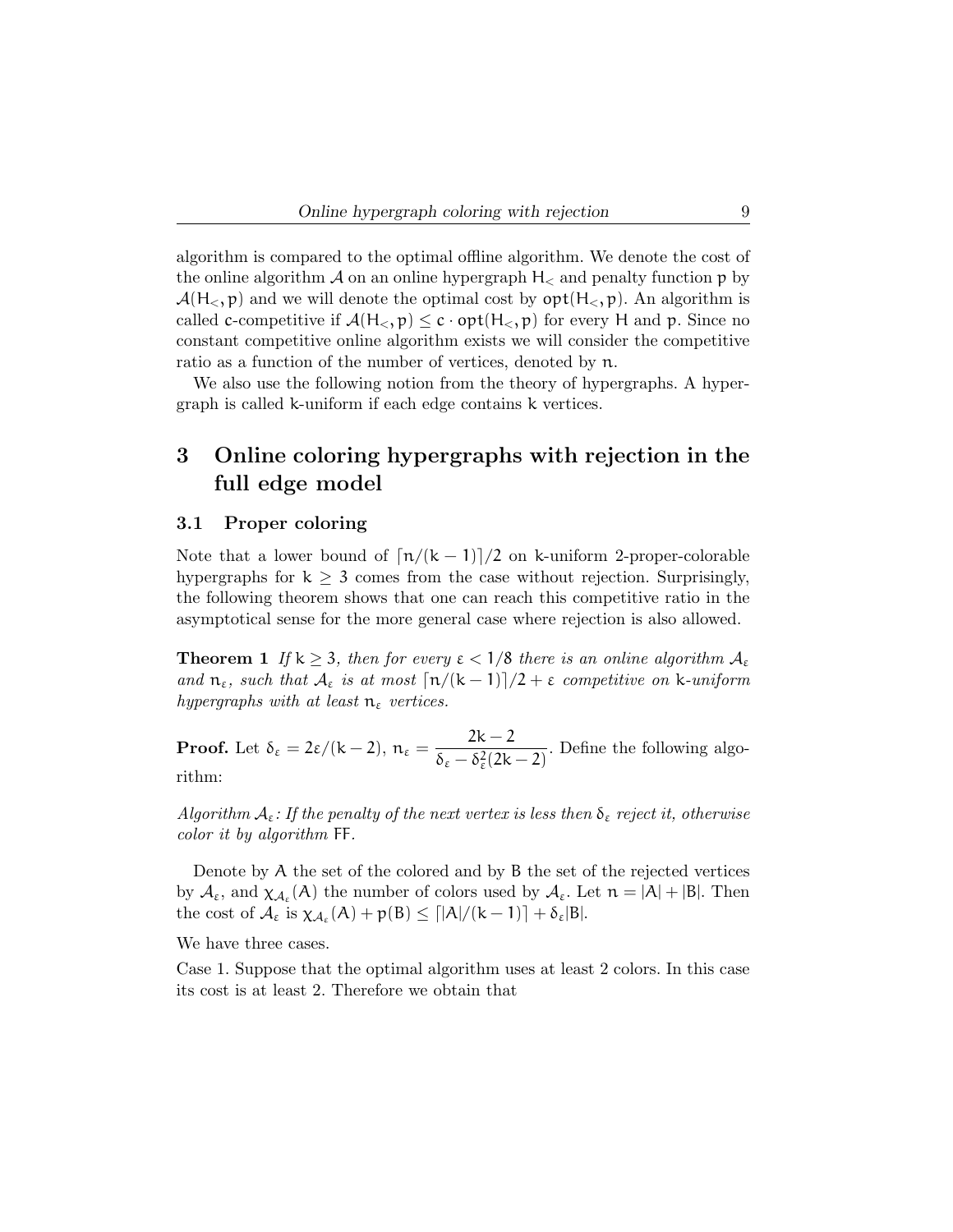algorithm is compared to the optimal offline algorithm. We denote the cost of the online algorithm  $\mathcal A$  on an online hypergraph  $H_<$  and penalty function p by  $\mathcal{A}(H_{\leq}, p)$  and we will denote the optimal cost by  $\mathsf{opt}(H_{\leq}, p)$ . An algorithm is called c-competitive if  $\mathcal{A}(H_<, p) \leq c \cdot opt(H_<, p)$  for every H and p. Since no constant competitive online algorithm exists we will consider the competitive ratio as a function of the number of vertices, denoted by n.

We also use the following notion from the theory of hypergraphs. A hypergraph is called k-uniform if each edge contains k vertices.

## 3 Online coloring hypergraphs with rejection in the full edge model

#### 3.1 Proper coloring

Note that a lower bound of  $\left\lfloor \frac{n}{k-1} \right\rfloor/2$  on k-uniform 2-proper-colorable hypergraphs for  $k \geq 3$  comes from the case without rejection. Surprisingly, the following theorem shows that one can reach this competitive ratio in the asymptotical sense for the more general case where rejection is also allowed.

**Theorem 1** If  $k \geq 3$ , then for every  $\epsilon < 1/8$  there is an online algorithm  $A_{\epsilon}$ and  $n_{\varepsilon}$ , such that  $\mathcal{A}_{\varepsilon}$  is at most  $\lceil n/(k-1)\rceil/2 + \varepsilon$  competitive on k-uniform hypergraphs with at least  $n_{\varepsilon}$  vertices.

**Proof.** Let  $\delta_{\varepsilon} = 2\varepsilon/(k-2)$ ,  $n_{\varepsilon} = \frac{2k-2}{s}$  $\frac{2\kappa}{\delta_{\varepsilon} - \delta_{\varepsilon}^2 (2k-2)}$ . Define the following algorithm:

Algorithm  $A_{\varepsilon}$ : If the penalty of the next vertex is less then  $\delta_{\varepsilon}$  reject it, otherwise color it by algorithm FF.

Denote by A the set of the colored and by B the set of the rejected vertices by  $\mathcal{A}_{\varepsilon}$ , and  $\chi_{\mathcal{A}_{\varepsilon}}(A)$  the number of colors used by  $\mathcal{A}_{\varepsilon}$ . Let  $n = |A| + |B|$ . Then the cost of  $\mathcal{A}_{\varepsilon}$  is  $\chi_{\mathcal{A}_{\varepsilon}}(A) + p(B) \leq \lceil |A|/(k-1)\rceil + \delta_{\varepsilon}|B|$ .

We have three cases.

Case 1. Suppose that the optimal algorithm uses at least 2 colors. In this case its cost is at least 2. Therefore we obtain that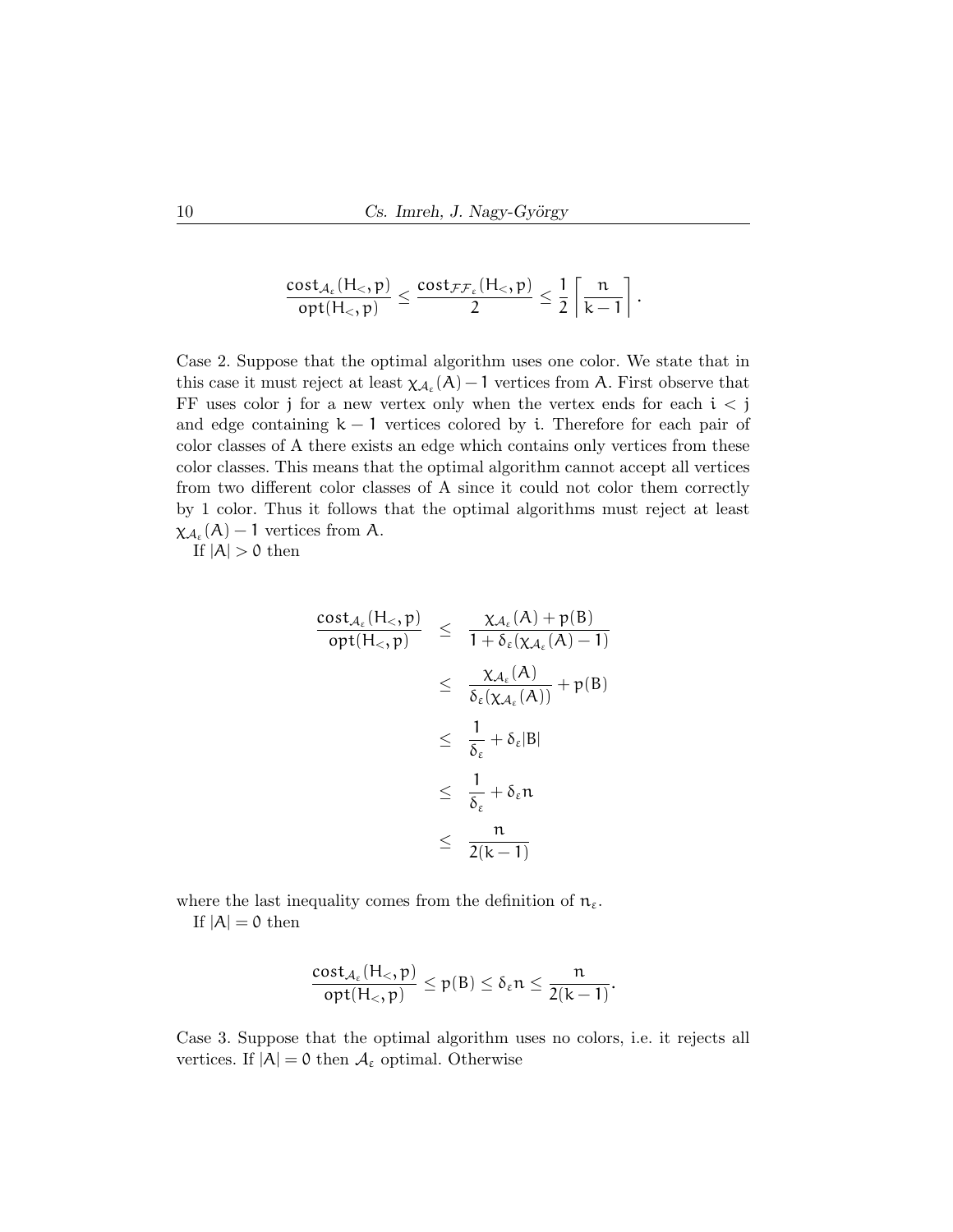$$
\frac{\text{cost}_{\mathcal{A}_{\epsilon}}(H_<, p)}{\text{opt}(H_<, p)} \leq \frac{\text{cost}_{\mathcal{FF}_{\epsilon}}(H_<, p)}{2} \leq \frac{1}{2} \left\lceil \frac{n}{k-1} \right\rceil.
$$

Case 2. Suppose that the optimal algorithm uses one color. We state that in this case it must reject at least  $\chi_{A_{\varepsilon}}(A) - 1$  vertices from A. First observe that FF uses color j for a new vertex only when the vertex ends for each  $i < j$ and edge containing  $k - 1$  vertices colored by i. Therefore for each pair of color classes of A there exists an edge which contains only vertices from these color classes. This means that the optimal algorithm cannot accept all vertices from two different color classes of A since it could not color them correctly by 1 color. Thus it follows that the optimal algorithms must reject at least  $\chi_{\mathcal{A}_{\varepsilon}}(A)-1$  vertices from A.

If  $|A| > 0$  then

$$
\frac{\text{cost}_{\mathcal{A}_{\varepsilon}}(H_{<},p)}{\text{opt}(H_{<},p)} \leq \frac{\chi_{\mathcal{A}_{\varepsilon}}(A) + p(B)}{1 + \delta_{\varepsilon}(\chi_{\mathcal{A}_{\varepsilon}}(A) - 1)} \n\leq \frac{\chi_{\mathcal{A}_{\varepsilon}}(A)}{\delta_{\varepsilon}(\chi_{\mathcal{A}_{\varepsilon}}(A))} + p(B) \n\leq \frac{1}{\delta_{\varepsilon}} + \delta_{\varepsilon}|B| \n\leq \frac{1}{\delta_{\varepsilon}} + \delta_{\varepsilon}n \n\leq \frac{n}{2(k-1)}
$$

where the last inequality comes from the definition of  $n_{\varepsilon}$ . If  $|A| = 0$  then

$$
\frac{\mathrm{cost}_{\mathcal{A}_{\varepsilon}}(H_<, p)}{\mathrm{opt}(H_<, p)} \le p(B) \le \delta_{\varepsilon} n \le \frac{n}{2(k-1)}.
$$

Case 3. Suppose that the optimal algorithm uses no colors, i.e. it rejects all vertices. If  $|A| = 0$  then  $A_{\varepsilon}$  optimal. Otherwise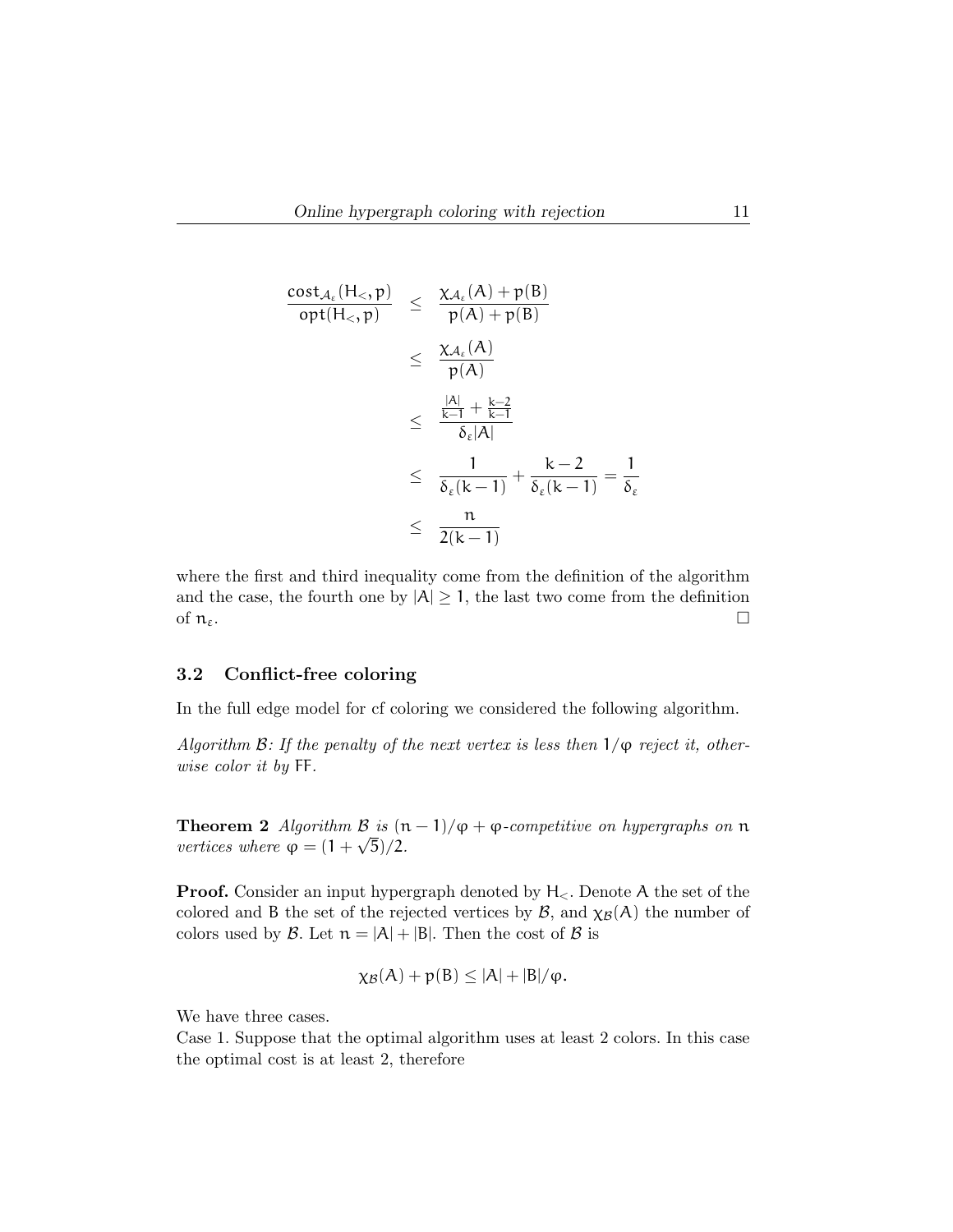$$
\frac{\text{cost}_{\mathcal{A}_{\varepsilon}}(H_{<},p)}{\text{opt}(H_{<},p)} \leq \frac{\chi_{\mathcal{A}_{\varepsilon}}(A) + p(B)}{p(A) + p(B)}
$$
\n
$$
\leq \frac{\chi_{\mathcal{A}_{\varepsilon}}(A)}{p(A)}
$$
\n
$$
\leq \frac{\frac{|A|}{k-1} + \frac{k-2}{k-1}}{\delta_{\varepsilon}|A|}
$$
\n
$$
\leq \frac{1}{\delta_{\varepsilon}(k-1)} + \frac{k-2}{\delta_{\varepsilon}(k-1)} = \frac{1}{\delta_{\varepsilon}}
$$
\n
$$
\leq \frac{n}{2(k-1)}
$$

where the first and third inequality come from the definition of the algorithm and the case, the fourth one by  $|A| \geq 1$ , the last two come from the definition of  $\mathfrak{n}_{\varepsilon}$ .

#### 3.2 Conflict-free coloring

In the full edge model for cf coloring we considered the following algorithm.

Algorithm B: If the penalty of the next vertex is less then  $1/\varphi$  reject it, otherwise color it by FF.

**Theorem 2** Algorithm  $\mathcal{B}$  is  $(n-1)/\varphi + \varphi$ -competitive on hypergraphs on  $\mathfrak{n}$ vertices where  $\varphi = (1 + \sqrt{5})/2$ .

**Proof.** Consider an input hypergraph denoted by  $H_{\leq}$ . Denote A the set of the colored and B the set of the rejected vertices by  $\mathcal{B}$ , and  $\chi_{\mathcal{B}}(A)$  the number of colors used by  $\mathcal{B}$ . Let  $n = |A| + |B|$ . Then the cost of  $\mathcal{B}$  is

$$
\chi_{\mathcal{B}}(A)+p(B)\leq |A|+|B|/\phi.
$$

We have three cases.

Case 1. Suppose that the optimal algorithm uses at least 2 colors. In this case the optimal cost is at least 2, therefore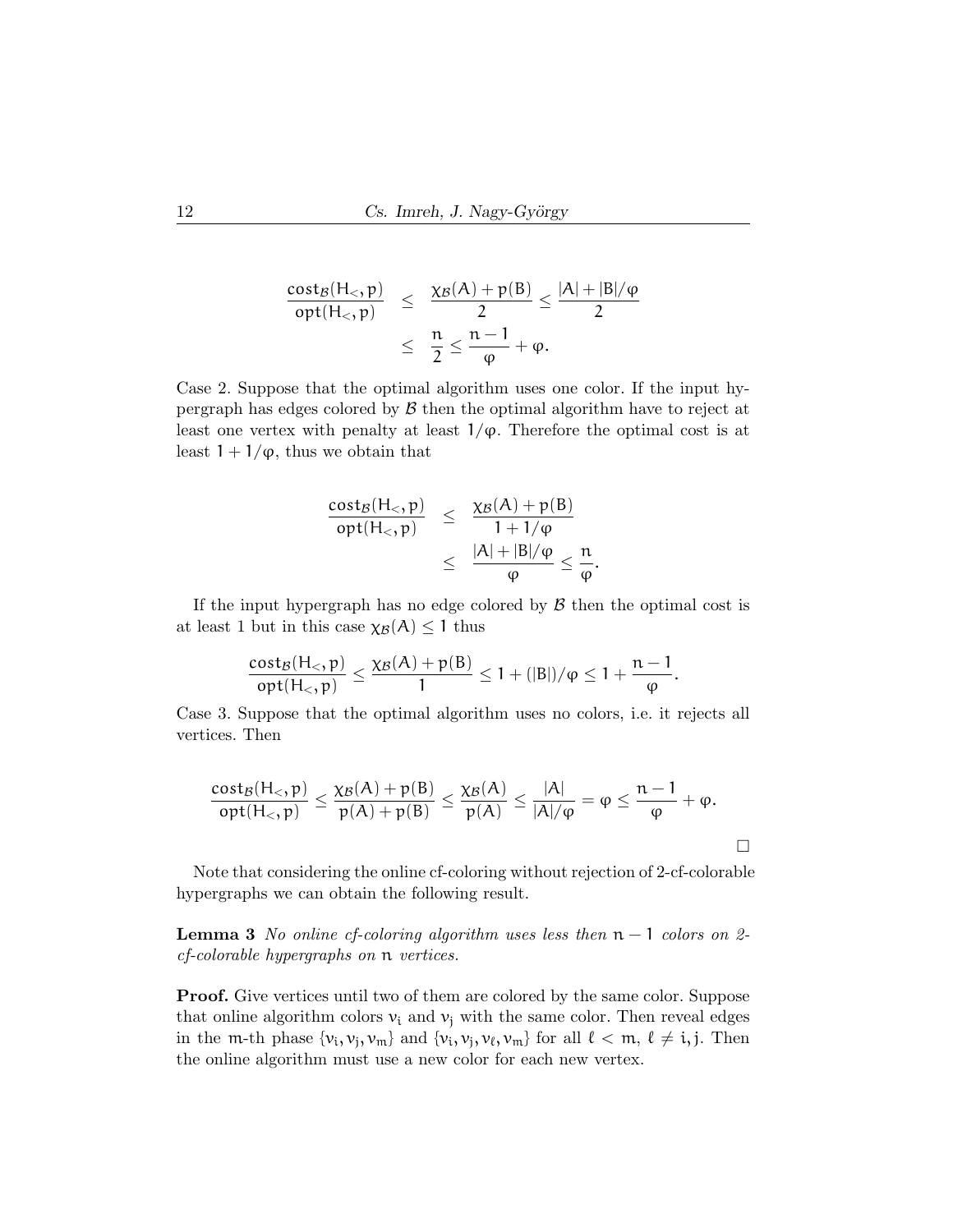$$
\frac{\text{cost}_{\mathcal{B}}(H_<, p)}{\text{opt}(H_<, p)} \leq \frac{\chi_{\mathcal{B}}(A) + p(B)}{2} \leq \frac{|A| + |B|/\phi}{2}
$$

$$
\leq \frac{n}{2} \leq \frac{n-1}{\phi} + \phi.
$$

Case 2. Suppose that the optimal algorithm uses one color. If the input hypergraph has edges colored by  $\beta$  then the optimal algorithm have to reject at least one vertex with penalty at least  $1/\varphi$ . Therefore the optimal cost is at least  $1 + 1/\varphi$ , thus we obtain that

$$
\frac{\text{cost}_{\mathcal{B}}(H_<, p)}{\text{opt}(H_<, p)} \leq \frac{\chi_{\mathcal{B}}(A) + p(B)}{1 + 1/\varphi} \leq \frac{|A| + |B|/\varphi}{\varphi} \leq \frac{n}{\varphi}.
$$

If the input hypergraph has no edge colored by  $\beta$  then the optimal cost is at least 1 but in this case  $\chi_{\mathcal{B}}(A) \leq 1$  thus

$$
\frac{\text{cost}_{\mathcal{B}}(H_<, p)}{\text{opt}(H_<, p)} \leq \frac{\chi_{\mathcal{B}}(A) + p(B)}{1} \leq 1 + (|B|)/\phi \leq 1 + \frac{n-1}{\phi}.
$$

Case 3. Suppose that the optimal algorithm uses no colors, i.e. it rejects all vertices. Then

$$
\frac{\mathsf{cost}_\mathcal{B}(\mathsf{H}_<,\mathsf{p})}{\mathsf{opt}(\mathsf{H}_<,\mathsf{p})}\leq \frac{\chi_\mathcal{B}(A)+\mathsf{p}(B)}{\mathsf{p}(A)+\mathsf{p}(B)}\leq \frac{\chi_\mathcal{B}(A)}{\mathsf{p}(A)}\leq \frac{|A|}{|A|/\phi}=\phi\leq \frac{n-1}{\phi}+\phi.
$$

 $\Box$ 

Note that considering the online cf-coloring without rejection of 2-cf-colorable hypergraphs we can obtain the following result.

**Lemma 3** No online cf-coloring algorithm uses less then  $n - 1$  colors on 2cf-colorable hypergraphs on n vertices.

Proof. Give vertices until two of them are colored by the same color. Suppose that online algorithm colors  $v_i$  and  $v_j$  with the same color. Then reveal edges in the m-th phase  $\{v_i, v_j, v_m\}$  and  $\{v_i, v_j, v_\ell, v_m\}$  for all  $\ell < m, \ell \neq i, j$ . Then the online algorithm must use a new color for each new vertex.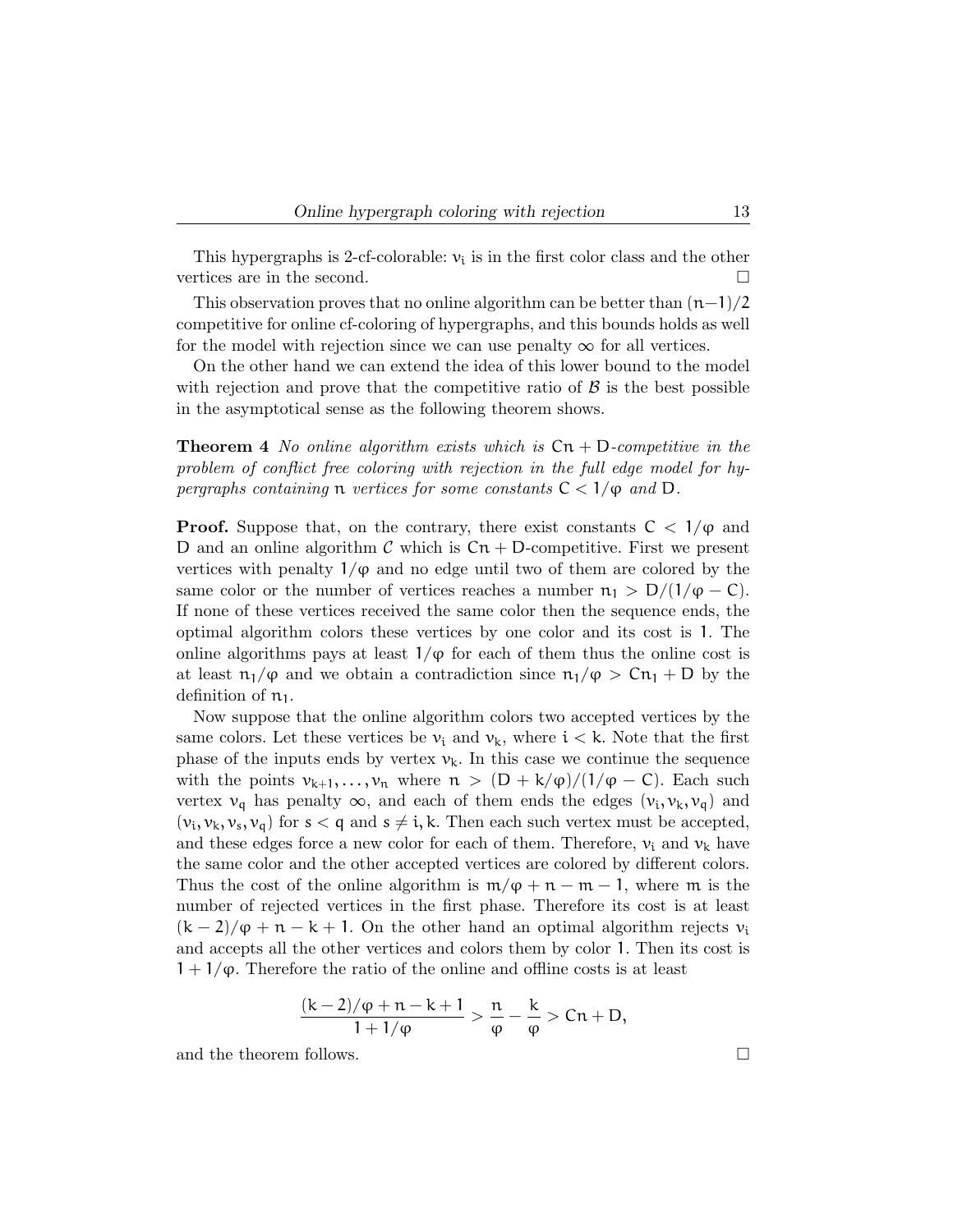This hypergraphs is 2-cf-colorable:  $v_i$  is in the first color class and the other vertices are in the second.

This observation proves that no online algorithm can be better than  $(n-1)/2$ competitive for online cf-coloring of hypergraphs, and this bounds holds as well for the model with rejection since we can use penalty  $\infty$  for all vertices.

On the other hand we can extend the idea of this lower bound to the model with rejection and prove that the competitive ratio of  $\beta$  is the best possible in the asymptotical sense as the following theorem shows.

**Theorem 4** No online algorithm exists which is  $\mathsf{C}_n + \mathsf{D}$ -competitive in the problem of conflict free coloring with rejection in the full edge model for hypergraphs containing n vertices for some constants  $C < 1/\varphi$  and D.

**Proof.** Suppose that, on the contrary, there exist constants  $C < 1/\varphi$  and D and an online algorithm C which is  $Cn + D$ -competitive. First we present vertices with penalty  $1/\varphi$  and no edge until two of them are colored by the same color or the number of vertices reaches a number  $n_1 > D/(1/\varphi - C)$ . If none of these vertices received the same color then the sequence ends, the optimal algorithm colors these vertices by one color and its cost is 1. The online algorithms pays at least  $1/\varphi$  for each of them thus the online cost is at least  $n_1/\varphi$  and we obtain a contradiction since  $n_1/\varphi > Cn_1 + D$  by the definition of  $n_1$ .

Now suppose that the online algorithm colors two accepted vertices by the same colors. Let these vertices be  $v_i$  and  $v_k$ , where  $i < k$ . Note that the first phase of the inputs ends by vertex  $v_k$ . In this case we continue the sequence with the points  $v_{k+1}, \ldots, v_n$  where  $n > (D + k/\varphi)/(1/\varphi - C)$ . Each such vertex  $v_q$  has penalty  $\infty$ , and each of them ends the edges  $(v_i, v_k, v_q)$  and  $(v_i, v_k, v_s, v_q)$  for  $s < q$  and  $s \neq i, k$ . Then each such vertex must be accepted, and these edges force a new color for each of them. Therefore,  $v_i$  and  $v_k$  have the same color and the other accepted vertices are colored by different colors. Thus the cost of the online algorithm is  $m/\varphi + n - m - 1$ , where m is the number of rejected vertices in the first phase. Therefore its cost is at least  $(k-2)/\varphi + n - k + 1$ . On the other hand an optimal algorithm rejects  $v_i$ and accepts all the other vertices and colors them by color 1. Then its cost is  $1 + 1/\varphi$ . Therefore the ratio of the online and offline costs is at least

$$
\frac{(k-2)/\phi+n-k+1}{1+1/\phi} > \frac{n}{\phi} - \frac{k}{\phi} > Cn + D,
$$

and the theorem follows.  $\Box$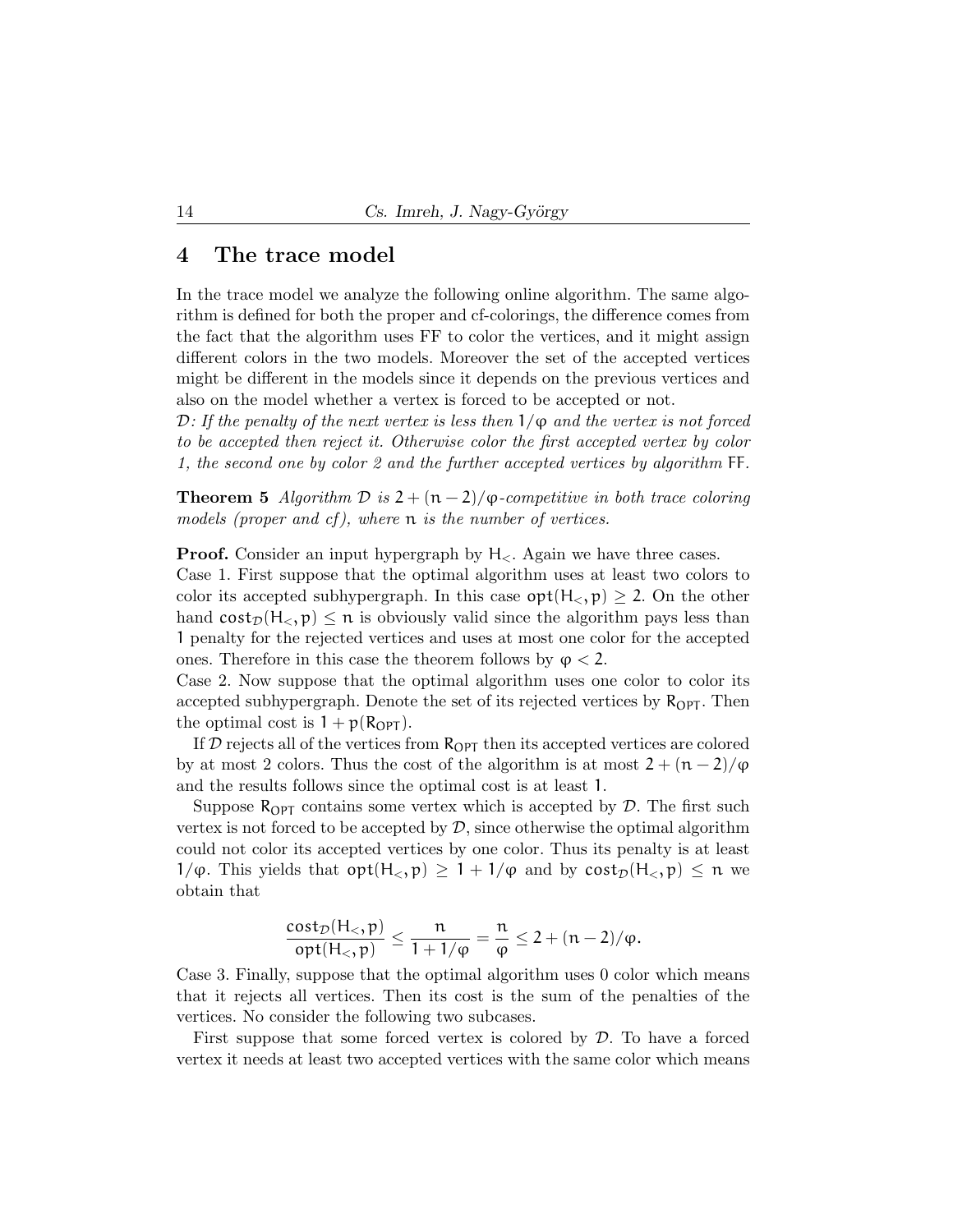## 4 The trace model

In the trace model we analyze the following online algorithm. The same algorithm is defined for both the proper and cf-colorings, the difference comes from the fact that the algorithm uses FF to color the vertices, and it might assign different colors in the two models. Moreover the set of the accepted vertices might be different in the models since it depends on the previous vertices and also on the model whether a vertex is forced to be accepted or not.

D: If the penalty of the next vertex is less then  $1/\varphi$  and the vertex is not forced to be accepted then reject it. Otherwise color the first accepted vertex by color 1, the second one by color 2 and the further accepted vertices by algorithm FF.

**Theorem 5** Algorithm  $\mathcal{D}$  is  $2 + (n-2)/\varphi$ -competitive in both trace coloring models (proper and cf), where  $\mathfrak n$  is the number of vertices.

**Proof.** Consider an input hypergraph by  $H_{\leq}$ . Again we have three cases.

Case 1. First suppose that the optimal algorithm uses at least two colors to color its accepted subhypergraph. In this case  $opt(H_{\leq}, p) \geq 2$ . On the other hand  $cost_{\mathcal{D}}(H_{\leq}, p) \leq n$  is obviously valid since the algorithm pays less than 1 penalty for the rejected vertices and uses at most one color for the accepted ones. Therefore in this case the theorem follows by  $\varphi < 2$ .

Case 2. Now suppose that the optimal algorithm uses one color to color its accepted subhypergraph. Denote the set of its rejected vertices by  $R_{\text{OPT}}$ . Then the optimal cost is  $1 + p(R_{\text{OPT}})$ .

If  $D$  rejects all of the vertices from  $R_{\text{OPT}}$  then its accepted vertices are colored by at most 2 colors. Thus the cost of the algorithm is at most  $2 + (n-2)/\varphi$ and the results follows since the optimal cost is at least 1.

Suppose  $R_{\text{OPT}}$  contains some vertex which is accepted by  $\mathcal{D}$ . The first such vertex is not forced to be accepted by  $\mathcal{D}$ , since otherwise the optimal algorithm could not color its accepted vertices by one color. Thus its penalty is at least  $1/\varphi$ . This yields that  $opt(H_{\leq}, p) \geq 1 + 1/\varphi$  and by  $cost_{\mathcal{D}}(H_{\leq}, p) \leq n$  we obtain that

$$
\frac{\text{cost}_{\mathcal{D}}(H_<, p)}{\text{opt}(H_<, p)} \le \frac{n}{1 + 1/\phi} = \frac{n}{\phi} \le 2 + (n - 2)/\phi.
$$

Case 3. Finally, suppose that the optimal algorithm uses 0 color which means that it rejects all vertices. Then its cost is the sum of the penalties of the vertices. No consider the following two subcases.

First suppose that some forced vertex is colored by  $\mathcal{D}$ . To have a forced vertex it needs at least two accepted vertices with the same color which means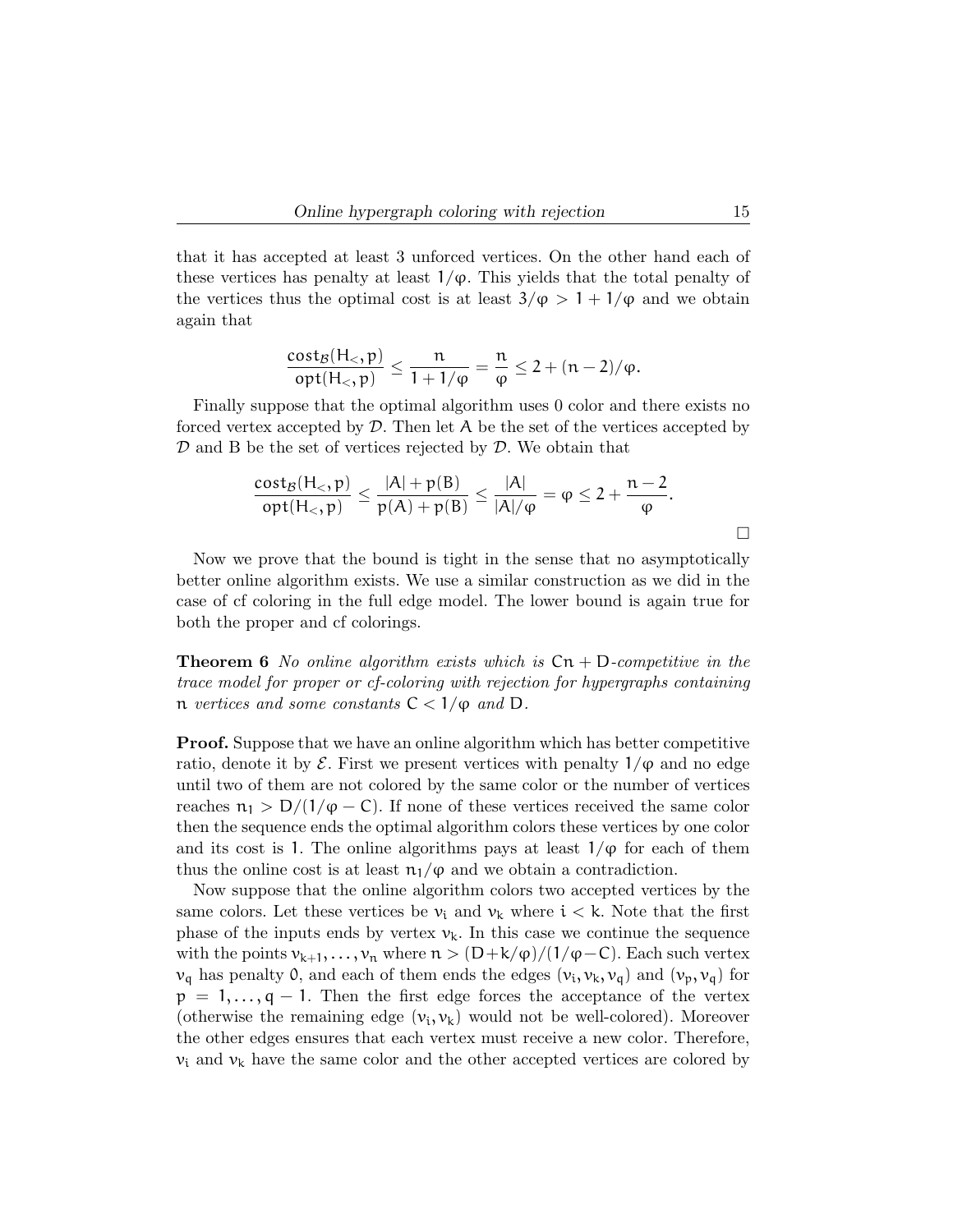that it has accepted at least 3 unforced vertices. On the other hand each of these vertices has penalty at least  $1/\varphi$ . This yields that the total penalty of the vertices thus the optimal cost is at least  $3/\varphi > 1 + 1/\varphi$  and we obtain again that

$$
\frac{\mathrm{cost}_{\mathcal{B}}(H_<, p)}{\mathrm{opt}(H_<, p)} \leq \frac{n}{1 + 1/\varphi} = \frac{n}{\varphi} \leq 2 + (n - 2)/\varphi.
$$

Finally suppose that the optimal algorithm uses 0 color and there exists no forced vertex accepted by  $\mathcal{D}$ . Then let A be the set of the vertices accepted by  $\mathcal D$  and B be the set of vertices rejected by  $\mathcal D$ . We obtain that

$$
\frac{\mathrm{cost}_{\mathcal{B}}(H_<, p)}{\mathrm{opt}(H_<, p)} \leq \frac{|A| + p(B)}{p(A) + p(B)} \leq \frac{|A|}{|A|/p} = \varphi \leq 2 + \frac{n-2}{\varphi}.
$$

Now we prove that the bound is tight in the sense that no asymptotically better online algorithm exists. We use a similar construction as we did in the case of cf coloring in the full edge model. The lower bound is again true for both the proper and cf colorings.

**Theorem 6** No online algorithm exists which is  $\text{Cn} + \text{D-competitive}$  in the trace model for proper or cf-coloring with rejection for hypergraphs containing n vertices and some constants  $C < 1/\varphi$  and D.

Proof. Suppose that we have an online algorithm which has better competitive ratio, denote it by  $\mathcal E$ . First we present vertices with penalty  $1/\varphi$  and no edge until two of them are not colored by the same color or the number of vertices reaches  $n_1 > D/(1/\varphi - C)$ . If none of these vertices received the same color then the sequence ends the optimal algorithm colors these vertices by one color and its cost is 1. The online algorithms pays at least  $1/\varphi$  for each of them thus the online cost is at least  $n_1/\varphi$  and we obtain a contradiction.

Now suppose that the online algorithm colors two accepted vertices by the same colors. Let these vertices be  $v_i$  and  $v_k$  where  $i < k$ . Note that the first phase of the inputs ends by vertex  $v_k$ . In this case we continue the sequence with the points  $v_{k+1}, \ldots, v_n$  where  $n > (D+k/\varphi)/(1/\varphi-C)$ . Each such vertex  $v_q$  has penalty 0, and each of them ends the edges  $(v_i, v_k, v_q)$  and  $(v_p, v_q)$  for  $p = 1, \ldots, q - 1$ . Then the first edge forces the acceptance of the vertex (otherwise the remaining edge  $(v_i, v_k)$  would not be well-colored). Moreover the other edges ensures that each vertex must receive a new color. Therefore,  $v_i$  and  $v_k$  have the same color and the other accepted vertices are colored by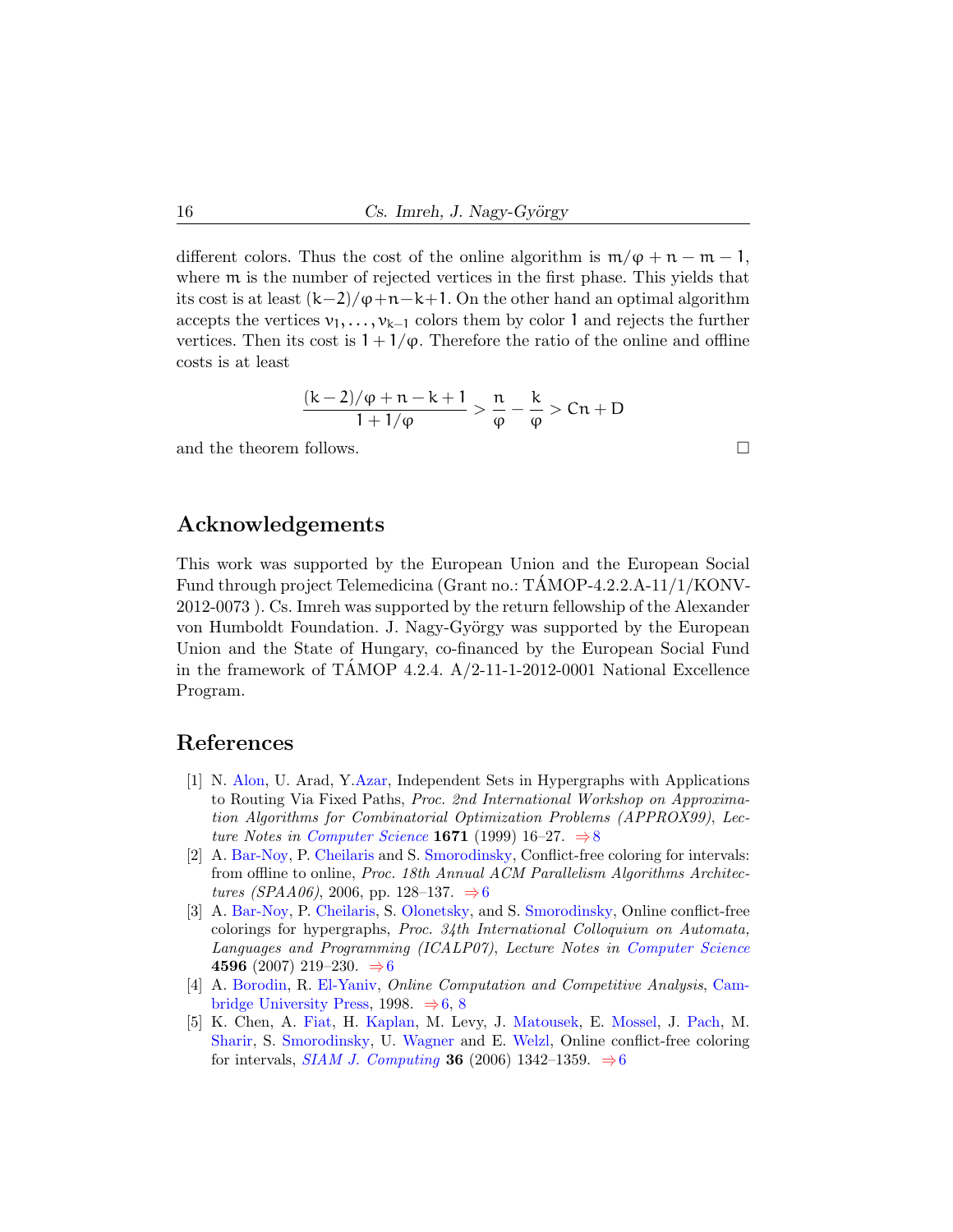different colors. Thus the cost of the online algorithm is  $m/\varphi + n - m - 1$ , where m is the number of rejected vertices in the first phase. This yields that its cost is at least  $(k-2)/\varphi+n-k+1$ . On the other hand an optimal algorithm accepts the vertices  $v_1, \ldots, v_{k-1}$  colors them by color 1 and rejects the further vertices. Then its cost is  $1 + 1/\varphi$ . Therefore the ratio of the online and offline costs is at least

$$
\frac{(k-2)/\phi+n-k+1}{1+1/\phi} > \frac{n}{\phi} - \frac{k}{\phi} > Cn+D
$$

and the theorem follows.  $\Box$ 

## Acknowledgements

This work was supported by the European Union and the European Social Fund through project Telemedicina (Grant no.: TÁMOP-4.2.2.A-11/1/KONV-2012-0073 ). Cs. Imreh was supported by the return fellowship of the Alexander von Humboldt Foundation. J. Nagy-György was supported by the European Union and the State of Hungary, co-financed by the European Social Fund in the framework of TAMOP 4.2.4.  $A/2$ -11-1-2012-0001 National Excellence Program.

## References

- <span id="page-11-4"></span>[1] N. [Alon,](http://www.tau.ac.il/~nogaa/) U. Arad, Y[.Azar,](http://www.cs.tau.ac.il/~azar/) Independent Sets in Hypergraphs with Applications to Routing Via Fixed Paths, Proc. 2nd International Workshop on Approximation Algorithms for Combinatorial Optimization Problems (APPROX99), Lec-ture Notes in [Computer Science](http://www.springer.com/gp/book/9783540663294) 1671 (1999) 16–27.  $\Rightarrow$  [8](#page-3-0)
- <span id="page-11-2"></span>[2] A. [Bar-Noy,](http://www.sci.brooklyn.cuny.edu/~amotz/) P. [Cheilaris](http://compgeom.inf.usi.ch/philaris/) and S. [Smorodinsky,](http://www.math.bgu.ac.il/~shakhar/) Conflict-free coloring for intervals: from offline to online, Proc. 18th Annual ACM Parallelism Algorithms Architec-tures (SPAA0[6](#page-1-0)), 2006, pp. 128–137. ⇒6
- <span id="page-11-3"></span>[3] A. [Bar-Noy,](http://www.sci.brooklyn.cuny.edu/~amotz/) P. [Cheilaris,](http://compgeom.inf.usi.ch/philaris/) S. [Olonetsky,](http://www.cs.tau.ac.il/~olonetsk/) and S. [Smorodinsky,](http://www.math.bgu.ac.il/~shakhar/) Online conflict-free colorings for hypergraphs, Proc. 34th International Colloquium on Automata, Languages and Programming (ICALP07), Lecture Notes in [Computer Science](http://link.springer.com/book/10.1007/978-3-540-73420-8) 459[6](#page-1-0) (2007) 219−230.  $\Rightarrow$  6
- <span id="page-11-0"></span>[4] A. [Borodin,](http://www.cs.toronto.edu/~bor/) R. [El-Yaniv,](http://www.cs.technion.ac.il/~rani/) Online Computation and Competitive Analysis, [Cam](http://www.cambridge.org/)[bridge University Press,](http://www.cambridge.org/) 199[8](#page-3-0).  $\Rightarrow$  [6,](#page-1-0) 8
- <span id="page-11-1"></span>[5] K. Chen, A. [Fiat,](#page-0-0) H. [Kaplan,](http://www.cs.tau.ac.il/~haimk/) M. Levy, J. [Matousek,](http://kam.mff.cuni.cz/~matousek/) E. [Mossel,](http://www.stat.berkeley.edu/~mossel/) J. [Pach,](https://www.math.nyu.edu/~pach/) M. [Sharir,](http://www.math.tau.ac.il/~michas/) S. [Smorodinsky,](http://www.math.bgu.ac.il/~shakhar/) U. [Wagner](http://www.inf.ethz.ch/personal/wagneru/) and E. [Welzl,](http://www.inf.ethz.ch/personal/emo/) Online conflict-free coloring for intervals, *[SIAM J. Computing](https://www.siam.org/journals/sicomp.php)* **3[6](#page-1-0)** (2006) 1342–1359.  $\Rightarrow$  6